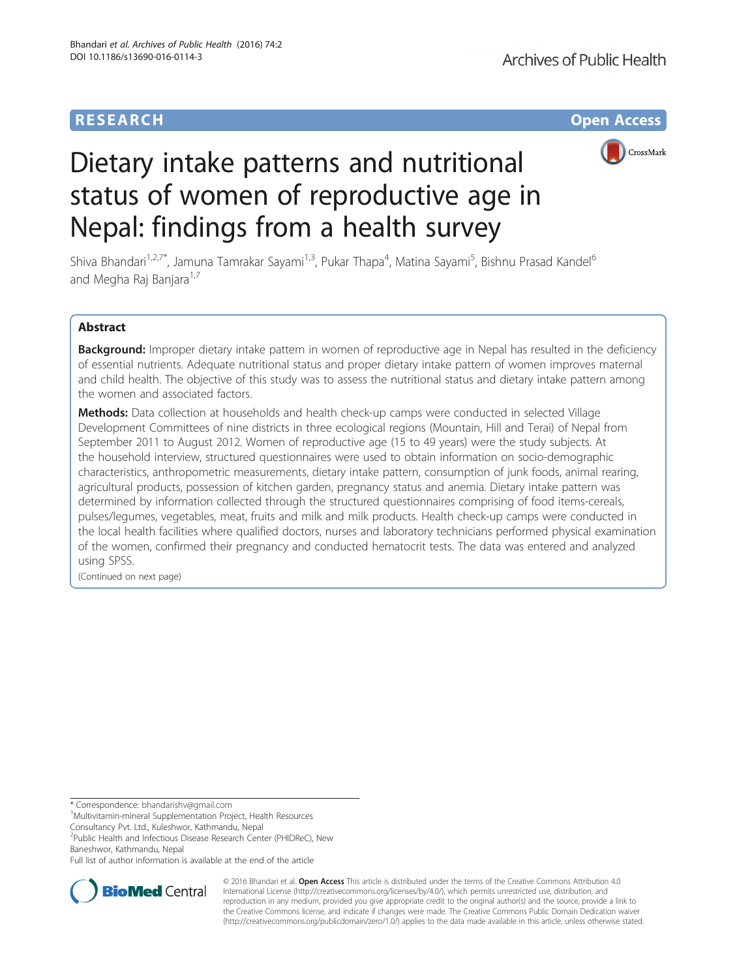# **RESEARCH CHE Open Access**



# Dietary intake patterns and nutritional status of women of reproductive age in Nepal: findings from a health survey

Shiva Bhandari<sup>1,2,7\*</sup>, Jamuna Tamrakar Sayami<sup>1,3</sup>, Pukar Thapa<sup>4</sup>, Matina Sayami<sup>5</sup>, Bishnu Prasad Kandel<sup>6</sup> and Megha Raj Banjara<sup>1,7</sup>

# Abstract

Background: Improper dietary intake pattern in women of reproductive age in Nepal has resulted in the deficiency of essential nutrients. Adequate nutritional status and proper dietary intake pattern of women improves maternal and child health. The objective of this study was to assess the nutritional status and dietary intake pattern among the women and associated factors.

**Methods:** Data collection at households and health check-up camps were conducted in selected Village Development Committees of nine districts in three ecological regions (Mountain, Hill and Terai) of Nepal from September 2011 to August 2012. Women of reproductive age (15 to 49 years) were the study subjects. At the household interview, structured questionnaires were used to obtain information on socio-demographic characteristics, anthropometric measurements, dietary intake pattern, consumption of junk foods, animal rearing, agricultural products, possession of kitchen garden, pregnancy status and anemia. Dietary intake pattern was determined by information collected through the structured questionnaires comprising of food items-cereals, pulses/legumes, vegetables, meat, fruits and milk and milk products. Health check-up camps were conducted in the local health facilities where qualified doctors, nurses and laboratory technicians performed physical examination of the women, confirmed their pregnancy and conducted hematocrit tests. The data was entered and analyzed using SPSS.

(Continued on next page)

\* Correspondence: [bhandarishv@gmail.com](mailto:bhandarishv@gmail.com) <sup>1</sup>

<sup>1</sup>Multivitamin-mineral Supplementation Project, Health Resources

Consultancy Pvt. Ltd., Kuleshwor, Kathmandu, Nepal

2 Public Health and Infectious Disease Research Center (PHIDReC), New Baneshwor, Kathmandu, Nepal

Full list of author information is available at the end of the article



© 2016 Bhandari et al. Open Access This article is distributed under the terms of the Creative Commons Attribution 4.0 International License [\(http://creativecommons.org/licenses/by/4.0/](http://creativecommons.org/licenses/by/4.0/)), which permits unrestricted use, distribution, and reproduction in any medium, provided you give appropriate credit to the original author(s) and the source, provide a link to the Creative Commons license, and indicate if changes were made. The Creative Commons Public Domain Dedication waiver [\(http://creativecommons.org/publicdomain/zero/1.0/](http://creativecommons.org/publicdomain/zero/1.0/)) applies to the data made available in this article, unless otherwise stated.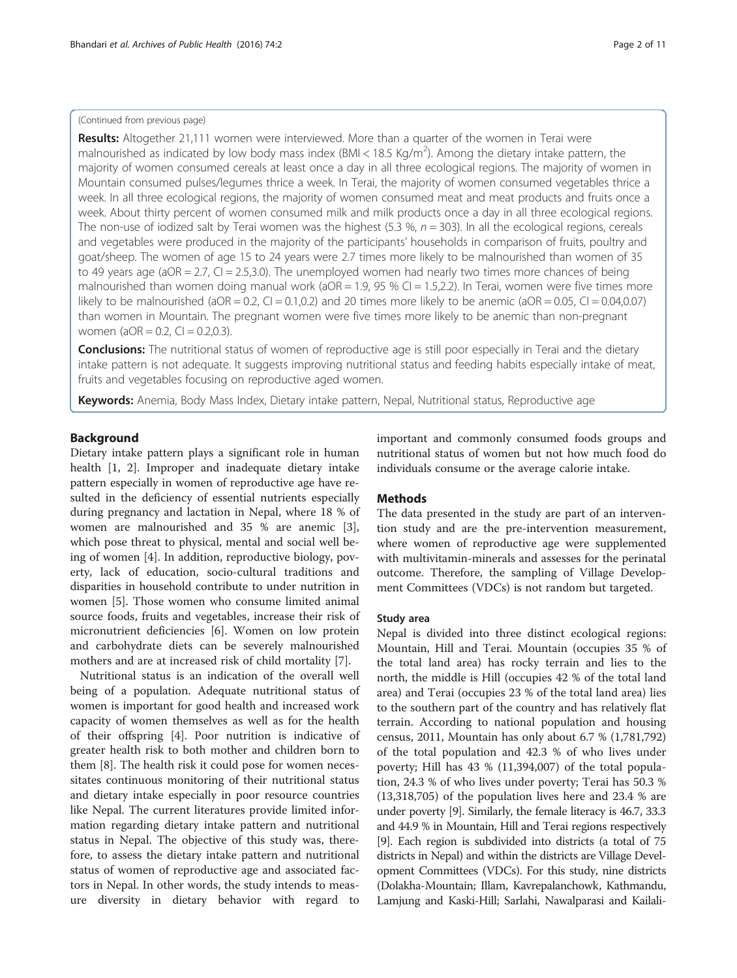# (Continued from previous page)

Results: Altogether 21,111 women were interviewed. More than a quarter of the women in Terai were malnourished as indicated by low body mass index (BMI < 18.5 Kg/m<sup>2</sup>). Among the dietary intake pattern, the majority of women consumed cereals at least once a day in all three ecological regions. The majority of women in Mountain consumed pulses/legumes thrice a week. In Terai, the majority of women consumed vegetables thrice a week. In all three ecological regions, the majority of women consumed meat and meat products and fruits once a week. About thirty percent of women consumed milk and milk products once a day in all three ecological regions. The non-use of iodized salt by Terai women was the highest  $(5.3 \, \%, n = 303)$ . In all the ecological regions, cereals and vegetables were produced in the majority of the participants' households in comparison of fruits, poultry and goat/sheep. The women of age 15 to 24 years were 2.7 times more likely to be malnourished than women of 35 to 49 years age ( $aOR = 2.7$ , CI = 2.5,3.0). The unemployed women had nearly two times more chances of being malnourished than women doing manual work ( $aOR = 1.9$ ,  $95\% CI = 1.5,2.2$ ). In Terai, women were five times more likely to be malnourished (aOR = 0.2, CI = 0.1,0.2) and 20 times more likely to be anemic (aOR = 0.05, CI = 0.04,0.07) than women in Mountain. The pregnant women were five times more likely to be anemic than non-pregnant women ( $aOR = 0.2$ ,  $Cl = 0.2, 0.3$ ).

**Conclusions:** The nutritional status of women of reproductive age is still poor especially in Terai and the dietary intake pattern is not adequate. It suggests improving nutritional status and feeding habits especially intake of meat, fruits and vegetables focusing on reproductive aged women.

Keywords: Anemia, Body Mass Index, Dietary intake pattern, Nepal, Nutritional status, Reproductive age

# Background

Dietary intake pattern plays a significant role in human health [\[1](#page-10-0), [2\]](#page-10-0). Improper and inadequate dietary intake pattern especially in women of reproductive age have resulted in the deficiency of essential nutrients especially during pregnancy and lactation in Nepal, where 18 % of women are malnourished and 35 % are anemic [\[3](#page-10-0)], which pose threat to physical, mental and social well being of women [\[4](#page-10-0)]. In addition, reproductive biology, poverty, lack of education, socio-cultural traditions and disparities in household contribute to under nutrition in women [\[5](#page-10-0)]. Those women who consume limited animal source foods, fruits and vegetables, increase their risk of micronutrient deficiencies [\[6](#page-10-0)]. Women on low protein and carbohydrate diets can be severely malnourished mothers and are at increased risk of child mortality [[7](#page-10-0)].

Nutritional status is an indication of the overall well being of a population. Adequate nutritional status of women is important for good health and increased work capacity of women themselves as well as for the health of their offspring [\[4](#page-10-0)]. Poor nutrition is indicative of greater health risk to both mother and children born to them [[8\]](#page-10-0). The health risk it could pose for women necessitates continuous monitoring of their nutritional status and dietary intake especially in poor resource countries like Nepal. The current literatures provide limited information regarding dietary intake pattern and nutritional status in Nepal. The objective of this study was, therefore, to assess the dietary intake pattern and nutritional status of women of reproductive age and associated factors in Nepal. In other words, the study intends to measure diversity in dietary behavior with regard to

important and commonly consumed foods groups and nutritional status of women but not how much food do individuals consume or the average calorie intake.

# **Methods**

The data presented in the study are part of an intervention study and are the pre-intervention measurement, where women of reproductive age were supplemented with multivitamin-minerals and assesses for the perinatal outcome. Therefore, the sampling of Village Development Committees (VDCs) is not random but targeted.

#### Study area

Nepal is divided into three distinct ecological regions: Mountain, Hill and Terai. Mountain (occupies 35 % of the total land area) has rocky terrain and lies to the north, the middle is Hill (occupies 42 % of the total land area) and Terai (occupies 23 % of the total land area) lies to the southern part of the country and has relatively flat terrain. According to national population and housing census, 2011, Mountain has only about 6.7 % (1,781,792) of the total population and 42.3 % of who lives under poverty; Hill has 43 % (11,394,007) of the total population, 24.3 % of who lives under poverty; Terai has 50.3 % (13,318,705) of the population lives here and 23.4 % are under poverty [[9\]](#page-10-0). Similarly, the female literacy is 46.7, 33.3 and 44.9 % in Mountain, Hill and Terai regions respectively [[9](#page-10-0)]. Each region is subdivided into districts (a total of 75 districts in Nepal) and within the districts are Village Development Committees (VDCs). For this study, nine districts (Dolakha-Mountain; Illam, Kavrepalanchowk, Kathmandu, Lamjung and Kaski-Hill; Sarlahi, Nawalparasi and Kailali-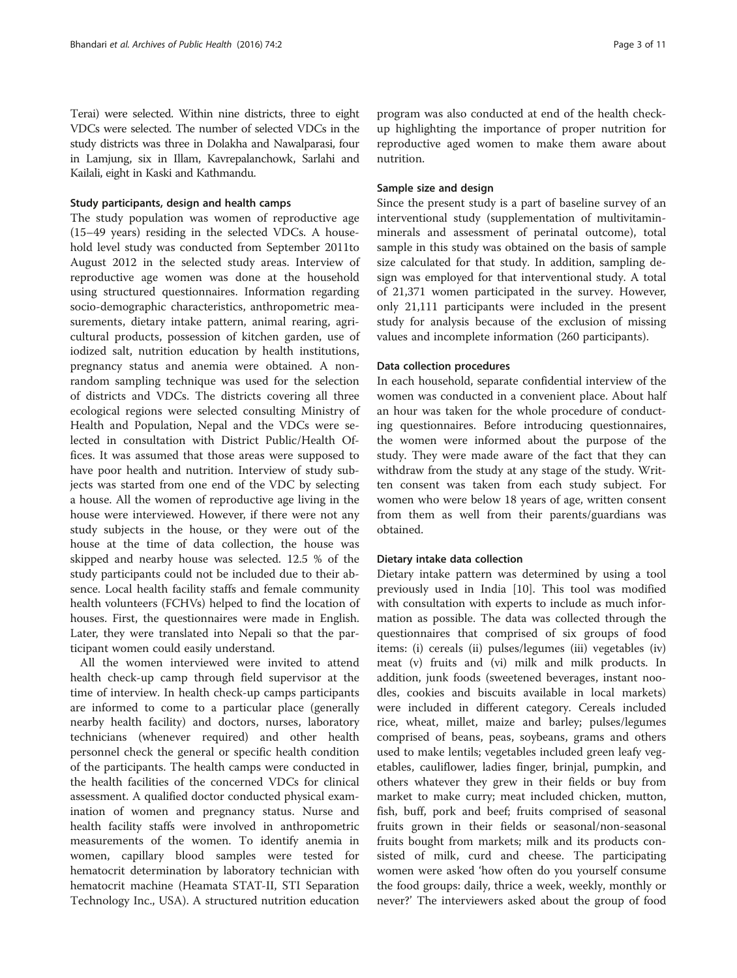Terai) were selected. Within nine districts, three to eight VDCs were selected. The number of selected VDCs in the study districts was three in Dolakha and Nawalparasi, four in Lamjung, six in Illam, Kavrepalanchowk, Sarlahi and Kailali, eight in Kaski and Kathmandu.

#### Study participants, design and health camps

The study population was women of reproductive age (15–49 years) residing in the selected VDCs. A household level study was conducted from September 2011to August 2012 in the selected study areas. Interview of reproductive age women was done at the household using structured questionnaires. Information regarding socio-demographic characteristics, anthropometric measurements, dietary intake pattern, animal rearing, agricultural products, possession of kitchen garden, use of iodized salt, nutrition education by health institutions, pregnancy status and anemia were obtained. A nonrandom sampling technique was used for the selection of districts and VDCs. The districts covering all three ecological regions were selected consulting Ministry of Health and Population, Nepal and the VDCs were selected in consultation with District Public/Health Offices. It was assumed that those areas were supposed to have poor health and nutrition. Interview of study subjects was started from one end of the VDC by selecting a house. All the women of reproductive age living in the house were interviewed. However, if there were not any study subjects in the house, or they were out of the house at the time of data collection, the house was skipped and nearby house was selected. 12.5 % of the study participants could not be included due to their absence. Local health facility staffs and female community health volunteers (FCHVs) helped to find the location of houses. First, the questionnaires were made in English. Later, they were translated into Nepali so that the participant women could easily understand.

All the women interviewed were invited to attend health check-up camp through field supervisor at the time of interview. In health check-up camps participants are informed to come to a particular place (generally nearby health facility) and doctors, nurses, laboratory technicians (whenever required) and other health personnel check the general or specific health condition of the participants. The health camps were conducted in the health facilities of the concerned VDCs for clinical assessment. A qualified doctor conducted physical examination of women and pregnancy status. Nurse and health facility staffs were involved in anthropometric measurements of the women. To identify anemia in women, capillary blood samples were tested for hematocrit determination by laboratory technician with hematocrit machine (Heamata STAT-II, STI Separation Technology Inc., USA). A structured nutrition education

program was also conducted at end of the health checkup highlighting the importance of proper nutrition for reproductive aged women to make them aware about nutrition.

#### Sample size and design

Since the present study is a part of baseline survey of an interventional study (supplementation of multivitaminminerals and assessment of perinatal outcome), total sample in this study was obtained on the basis of sample size calculated for that study. In addition, sampling design was employed for that interventional study. A total of 21,371 women participated in the survey. However, only 21,111 participants were included in the present study for analysis because of the exclusion of missing values and incomplete information (260 participants).

#### Data collection procedures

In each household, separate confidential interview of the women was conducted in a convenient place. About half an hour was taken for the whole procedure of conducting questionnaires. Before introducing questionnaires, the women were informed about the purpose of the study. They were made aware of the fact that they can withdraw from the study at any stage of the study. Written consent was taken from each study subject. For women who were below 18 years of age, written consent from them as well from their parents/guardians was obtained.

#### Dietary intake data collection

Dietary intake pattern was determined by using a tool previously used in India [[10](#page-10-0)]. This tool was modified with consultation with experts to include as much information as possible. The data was collected through the questionnaires that comprised of six groups of food items: (i) cereals (ii) pulses/legumes (iii) vegetables (iv) meat (v) fruits and (vi) milk and milk products. In addition, junk foods (sweetened beverages, instant noodles, cookies and biscuits available in local markets) were included in different category. Cereals included rice, wheat, millet, maize and barley; pulses/legumes comprised of beans, peas, soybeans, grams and others used to make lentils; vegetables included green leafy vegetables, cauliflower, ladies finger, brinjal, pumpkin, and others whatever they grew in their fields or buy from market to make curry; meat included chicken, mutton, fish, buff, pork and beef; fruits comprised of seasonal fruits grown in their fields or seasonal/non-seasonal fruits bought from markets; milk and its products consisted of milk, curd and cheese. The participating women were asked 'how often do you yourself consume the food groups: daily, thrice a week, weekly, monthly or never?' The interviewers asked about the group of food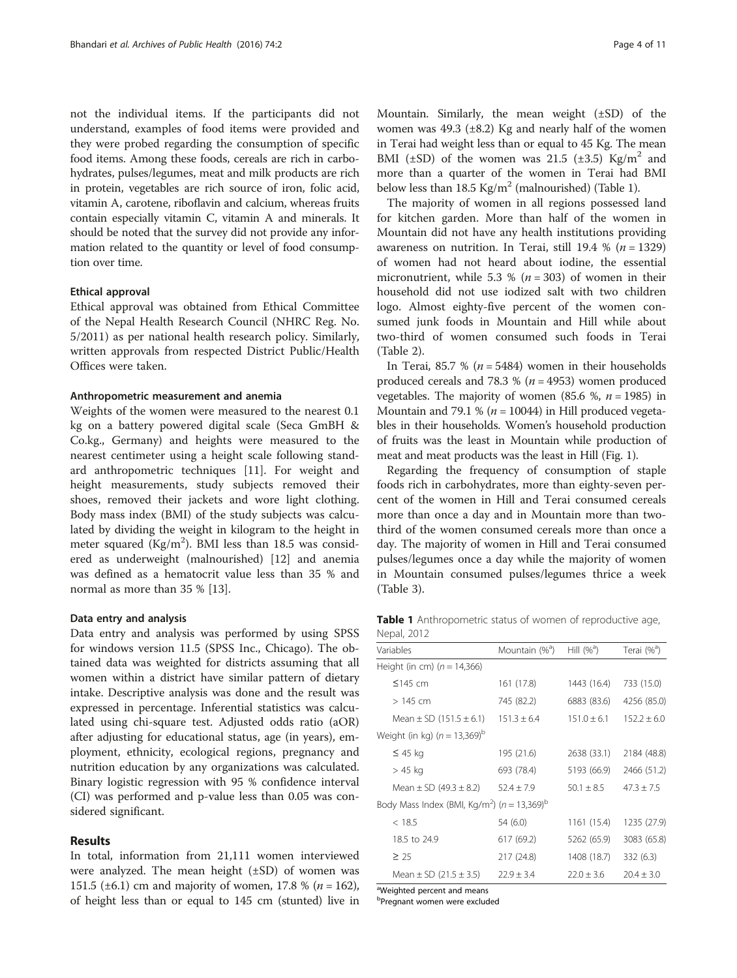not the individual items. If the participants did not understand, examples of food items were provided and they were probed regarding the consumption of specific food items. Among these foods, cereals are rich in carbohydrates, pulses/legumes, meat and milk products are rich in protein, vegetables are rich source of iron, folic acid, vitamin A, carotene, riboflavin and calcium, whereas fruits contain especially vitamin C, vitamin A and minerals. It should be noted that the survey did not provide any information related to the quantity or level of food consumption over time.

#### Ethical approval

Ethical approval was obtained from Ethical Committee of the Nepal Health Research Council (NHRC Reg. No. 5/2011) as per national health research policy. Similarly, written approvals from respected District Public/Health Offices were taken.

#### Anthropometric measurement and anemia

Weights of the women were measured to the nearest 0.1 kg on a battery powered digital scale (Seca GmBH & Co.kg., Germany) and heights were measured to the nearest centimeter using a height scale following standard anthropometric techniques [\[11](#page-10-0)]. For weight and height measurements, study subjects removed their shoes, removed their jackets and wore light clothing. Body mass index (BMI) of the study subjects was calculated by dividing the weight in kilogram to the height in meter squared  $(Kg/m^2)$ . BMI less than 18.5 was considered as underweight (malnourished) [[12\]](#page-10-0) and anemia was defined as a hematocrit value less than 35 % and normal as more than 35 % [\[13](#page-10-0)].

#### Data entry and analysis

Data entry and analysis was performed by using SPSS for windows version 11.5 (SPSS Inc., Chicago). The obtained data was weighted for districts assuming that all women within a district have similar pattern of dietary intake. Descriptive analysis was done and the result was expressed in percentage. Inferential statistics was calculated using chi-square test. Adjusted odds ratio (aOR) after adjusting for educational status, age (in years), employment, ethnicity, ecological regions, pregnancy and nutrition education by any organizations was calculated. Binary logistic regression with 95 % confidence interval (CI) was performed and p-value less than 0.05 was considered significant.

## Results

In total, information from 21,111 women interviewed were analyzed. The mean height (±SD) of women was 151.5 ( $\pm$ 6.1) cm and majority of women, 17.8 % ( $n = 162$ ), of height less than or equal to 145 cm (stunted) live in

Mountain. Similarly, the mean weight (±SD) of the women was 49.3 (±8.2) Kg and nearly half of the women in Terai had weight less than or equal to 45 Kg. The mean BMI ( $\pm$ SD) of the women was 21.5 ( $\pm$ 3.5) Kg/m<sup>2</sup> and more than a quarter of the women in Terai had BMI below less than 18.5 Kg/m<sup>2</sup> (malnourished) (Table 1).

The majority of women in all regions possessed land for kitchen garden. More than half of the women in Mountain did not have any health institutions providing awareness on nutrition. In Terai, still 19.4 % ( $n = 1329$ ) of women had not heard about iodine, the essential micronutrient, while 5.3 % ( $n = 303$ ) of women in their household did not use iodized salt with two children logo. Almost eighty-five percent of the women consumed junk foods in Mountain and Hill while about two-third of women consumed such foods in Terai (Table [2\)](#page-4-0).

In Terai, 85.7 % ( $n = 5484$ ) women in their households produced cereals and 78.3 % ( $n = 4953$ ) women produced vegetables. The majority of women (85.6 %,  $n = 1985$ ) in Mountain and 79.1 % ( $n = 10044$ ) in Hill produced vegetables in their households. Women's household production of fruits was the least in Mountain while production of meat and meat products was the least in Hill (Fig. [1](#page-4-0)).

Regarding the frequency of consumption of staple foods rich in carbohydrates, more than eighty-seven percent of the women in Hill and Terai consumed cereals more than once a day and in Mountain more than twothird of the women consumed cereals more than once a day. The majority of women in Hill and Terai consumed pulses/legumes once a day while the majority of women in Mountain consumed pulses/legumes thrice a week (Table [3\)](#page-5-0).

Table 1 Anthropometric status of women of reproductive age, Nepal, 2012

| Variables                                                             | Mountain (% <sup>a</sup> ) | Hill $(\%^a)$   | Terai (% <sup>a</sup> ) |
|-----------------------------------------------------------------------|----------------------------|-----------------|-------------------------|
| Height (in cm) ( $n = 14,366$ )                                       |                            |                 |                         |
| $\leq$ 145 cm                                                         | 161 (17.8)                 | 1443 (16.4)     | 733 (15.0)              |
| $>145$ cm                                                             | 745 (82.2)                 | 6883 (83.6)     | 4256 (85.0)             |
| Mean $\pm$ SD (151.5 $\pm$ 6.1)                                       | $151.3 \pm 6.4$            | $151.0 \pm 6.1$ | $152.2 + 6.0$           |
| Weight (in kg) $(n = 13,369)^{b}$                                     |                            |                 |                         |
| $\leq$ 45 kg                                                          | 195 (21.6)                 | 2638 (33.1)     | 2184 (48.8)             |
| > 45 kg                                                               | 693 (78.4)                 | 5193 (66.9)     | 2466 (51.2)             |
| Mean $\pm$ SD (49.3 $\pm$ 8.2)                                        | $52.4 \pm 7.9$             | $50.1 \pm 8.5$  | $47.3 \pm 7.5$          |
| Body Mass Index (BMI, Kg/m <sup>2</sup> ) ( $n = 13,369$ <sup>b</sup> |                            |                 |                         |
| < 18.5                                                                | 54 (6.0)                   | 1161 (15.4)     | 1235 (27.9)             |
| 18.5 to 24.9                                                          | 617 (69.2)                 | 5262 (65.9)     | 3083 (65.8)             |
| $\geq 25$                                                             | 217 (24.8)                 | 1408 (18.7)     | 332 (6.3)               |
| Mean $\pm$ SD (21.5 $\pm$ 3.5)                                        | $72.9 + 3.4$               | $22.0 + 3.6$    | $70.4 + 3.0$            |

<sup>a</sup>Weighted percent and means

b Pregnant women were excluded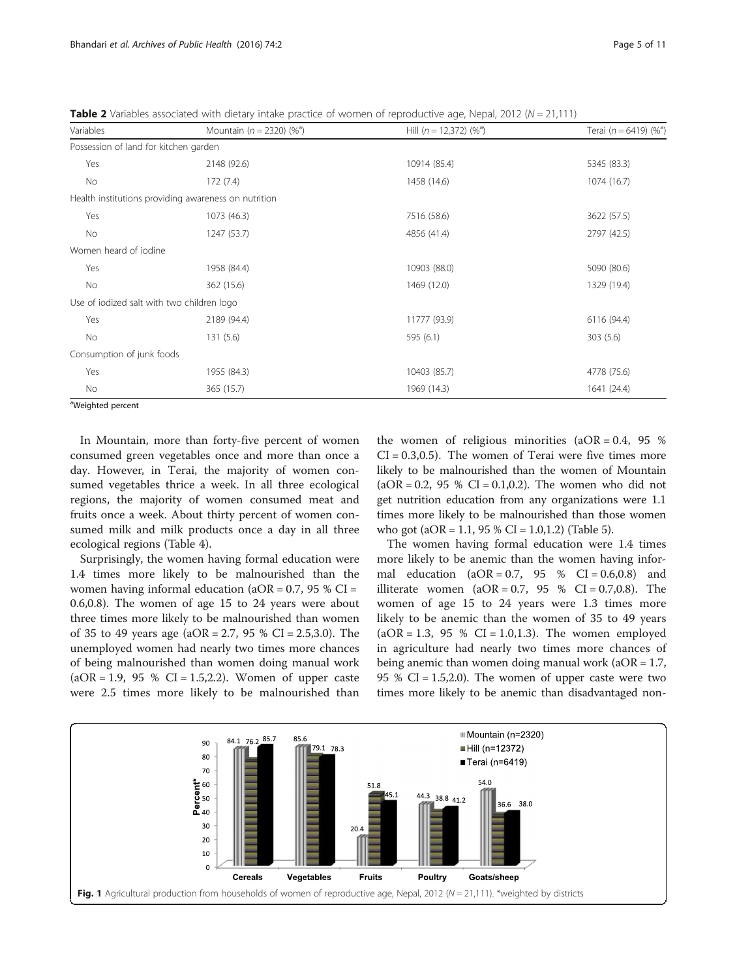| Variables                                           | Mountain ( $n = 2320$ ) (% <sup>a</sup> )            | Hill $(n = 12,372)$ (% <sup>a</sup> ) | Terai ( $n = 6419$ ) (% <sup>a</sup> ) |
|-----------------------------------------------------|------------------------------------------------------|---------------------------------------|----------------------------------------|
|                                                     |                                                      |                                       |                                        |
| Possession of land for kitchen garden               |                                                      |                                       |                                        |
| Yes                                                 | 2148 (92.6)                                          | 10914 (85.4)                          | 5345 (83.3)                            |
| No                                                  | 172(7.4)                                             | 1458 (14.6)                           | 1074 (16.7)                            |
|                                                     | Health institutions providing awareness on nutrition |                                       |                                        |
| Yes                                                 | 1073 (46.3)                                          | 7516 (58.6)                           | 3622 (57.5)                            |
| No                                                  | 1247 (53.7)                                          | 4856 (41.4)                           | 2797 (42.5)                            |
| Women heard of iodine                               |                                                      |                                       |                                        |
| Yes                                                 | 1958 (84.4)                                          | 10903 (88.0)                          | 5090 (80.6)                            |
| No                                                  | 362 (15.6)                                           | 1469 (12.0)                           | 1329 (19.4)                            |
|                                                     | Use of iodized salt with two children logo           |                                       |                                        |
| Yes                                                 | 2189 (94.4)                                          | 11777 (93.9)                          | 6116 (94.4)                            |
| No                                                  | 131(5.6)                                             | 595 (6.1)                             | 303(5.6)                               |
| Consumption of junk foods                           |                                                      |                                       |                                        |
| Yes                                                 | 1955 (84.3)                                          | 10403 (85.7)                          | 4778 (75.6)                            |
| No                                                  | 365 (15.7)                                           | 1969 (14.3)                           | 1641 (24.4)                            |
| $3141.3$ . Let $\sim$ $1.3$ a $\sim$ $1.3$ a $\sim$ |                                                      |                                       |                                        |

<span id="page-4-0"></span>**Table 2** Variables associated with dietary intake practice of women of reproductive age, Nepal, 2012 ( $N = 21,111$ )

In Mountain, more than forty-five percent of women consumed green vegetables once and more than once a day. However, in Terai, the majority of women consumed vegetables thrice a week. In all three ecological regions, the majority of women consumed meat and fruits once a week. About thirty percent of women consumed milk and milk products once a day in all three ecological regions (Table [4\)](#page-6-0).

Surprisingly, the women having formal education were 1.4 times more likely to be malnourished than the women having informal education ( $aOR = 0.7$ , 95 % CI = 0.6,0.8). The women of age 15 to 24 years were about three times more likely to be malnourished than women of 35 to 49 years age (aOR = 2.7, 95 % CI = 2.5,3.0). The unemployed women had nearly two times more chances of being malnourished than women doing manual work  $(aOR = 1.9, 95 % CI = 1.5, 2.2)$ . Women of upper caste were 2.5 times more likely to be malnourished than

the women of religious minorities  $(aOR = 0.4, 95 %$  $CI = 0.3, 0.5$ . The women of Terai were five times more likely to be malnourished than the women of Mountain  $(aOR = 0.2, 95 % CI = 0.1, 0.2)$ . The women who did not get nutrition education from any organizations were 1.1 times more likely to be malnourished than those women who got ( $aOR = 1.1$ ,  $95 % CI = 1.0,1.2$ ) (Table [5](#page-7-0)).

The women having formal education were 1.4 times more likely to be anemic than the women having informal education  $(aOR = 0.7, 95 % CI = 0.6, 0.8)$  and illiterate women  $(aOR = 0.7, 95 % CI = 0.7, 0.8)$ . The women of age 15 to 24 years were 1.3 times more likely to be anemic than the women of 35 to 49 years  $(aOR = 1.3, 95 % CI = 1.0, 1.3)$ . The women employed in agriculture had nearly two times more chances of being anemic than women doing manual work ( $aOR = 1.7$ , 95 % CI =  $1.5,2.0$ ). The women of upper caste were two times more likely to be anemic than disadvantaged non-

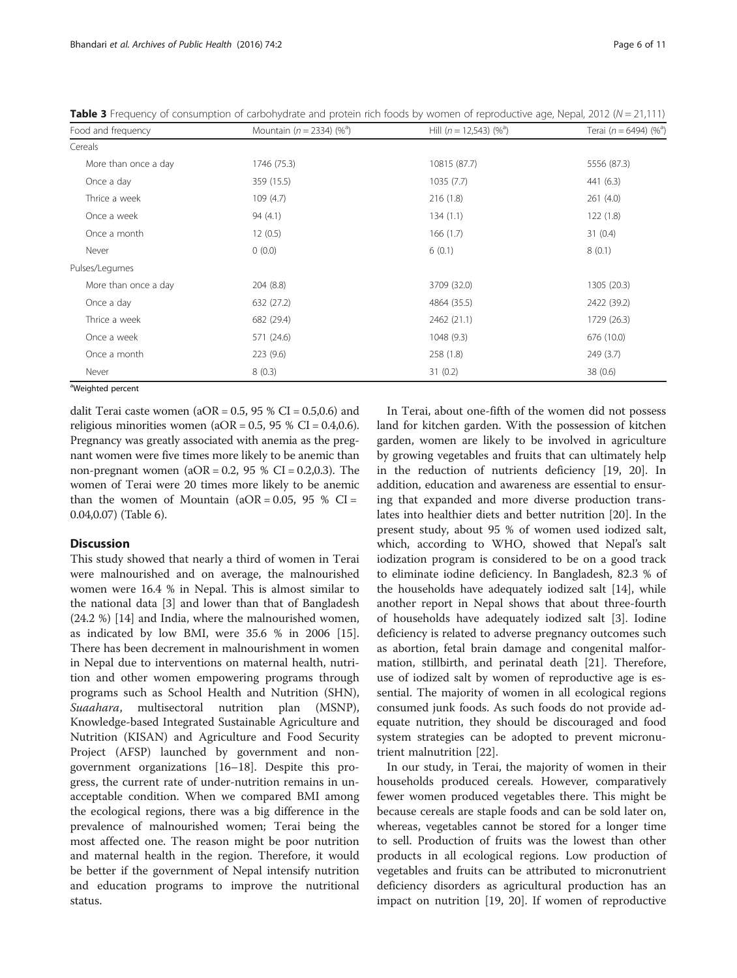| Food and frequency                                                           | Mountain ( $n = 2334$ ) (% <sup>a</sup> ) | Hill $(n = 12,543)$ (% <sup>a</sup> ) | Terai ( $n = 6494$ ) (% <sup>a</sup> ) |
|------------------------------------------------------------------------------|-------------------------------------------|---------------------------------------|----------------------------------------|
| Cereals                                                                      |                                           |                                       |                                        |
| More than once a day                                                         | 1746 (75.3)                               | 10815 (87.7)                          | 5556 (87.3)                            |
| Once a day                                                                   | 359 (15.5)                                | 1035(7.7)                             | 441 (6.3)                              |
| Thrice a week                                                                | 109(4.7)                                  | 216(1.8)                              | 261(4.0)                               |
| Once a week                                                                  | 94 (4.1)                                  | 134(1.1)                              | 122(1.8)                               |
| Once a month                                                                 | 12(0.5)                                   | 166(1.7)                              | 31(0.4)                                |
| Never                                                                        | 0(0.0)                                    | 6(0.1)                                | 8(0.1)                                 |
| Pulses/Legumes                                                               |                                           |                                       |                                        |
| More than once a day                                                         | 204 (8.8)                                 | 3709 (32.0)                           | 1305 (20.3)                            |
| Once a day                                                                   | 632 (27.2)                                | 4864 (35.5)                           | 2422 (39.2)                            |
| Thrice a week                                                                | 682 (29.4)                                | 2462 (21.1)                           | 1729 (26.3)                            |
| Once a week                                                                  | 571 (24.6)                                | 1048 (9.3)                            | 676 (10.0)                             |
| Once a month                                                                 | 223(9.6)                                  | 258 (1.8)                             | 249(3.7)                               |
| Never                                                                        | 8(0.3)                                    | 31(0.2)                               | 38(0.6)                                |
| $\partial M$ . $\partial$ . Let $\partial$ $\partial$ be a set of $\partial$ |                                           |                                       |                                        |

<span id="page-5-0"></span>Table 3 Frequency of consumption of carbohydrate and protein rich foods by women of reproductive age, Nepal, 2012 ( $N = 21,111$ )

dalit Terai caste women (aOR =  $0.5$ ,  $95\%$  CI =  $0.5$ , 0.6) and religious minorities women (aOR =  $0.5$ , 95 % CI =  $0.4$ , $0.6$ ). Pregnancy was greatly associated with anemia as the pregnant women were five times more likely to be anemic than non-pregnant women ( $aOR = 0.2$ , 95 % CI = 0.2,0.3). The women of Terai were 20 times more likely to be anemic than the women of Mountain ( $aOR = 0.05$ , 95 % CI = 0.04,0.07) (Table [6\)](#page-8-0).

#### **Discussion**

This study showed that nearly a third of women in Terai were malnourished and on average, the malnourished women were 16.4 % in Nepal. This is almost similar to the national data [\[3\]](#page-10-0) and lower than that of Bangladesh (24.2 %) [[14\]](#page-10-0) and India, where the malnourished women, as indicated by low BMI, were 35.6 % in 2006 [\[15](#page-10-0)]. There has been decrement in malnourishment in women in Nepal due to interventions on maternal health, nutrition and other women empowering programs through programs such as School Health and Nutrition (SHN), Suaahara, multisectoral nutrition plan (MSNP), Knowledge-based Integrated Sustainable Agriculture and Nutrition (KISAN) and Agriculture and Food Security Project (AFSP) launched by government and nongovernment organizations [[16](#page-10-0)–[18](#page-10-0)]. Despite this progress, the current rate of under-nutrition remains in unacceptable condition. When we compared BMI among the ecological regions, there was a big difference in the prevalence of malnourished women; Terai being the most affected one. The reason might be poor nutrition and maternal health in the region. Therefore, it would be better if the government of Nepal intensify nutrition and education programs to improve the nutritional status.

In Terai, about one-fifth of the women did not possess land for kitchen garden. With the possession of kitchen garden, women are likely to be involved in agriculture by growing vegetables and fruits that can ultimately help in the reduction of nutrients deficiency [[19](#page-10-0), [20](#page-10-0)]. In addition, education and awareness are essential to ensuring that expanded and more diverse production translates into healthier diets and better nutrition [\[20](#page-10-0)]. In the present study, about 95 % of women used iodized salt, which, according to WHO, showed that Nepal's salt iodization program is considered to be on a good track to eliminate iodine deficiency. In Bangladesh, 82.3 % of the households have adequately iodized salt [\[14](#page-10-0)], while another report in Nepal shows that about three-fourth of households have adequately iodized salt [\[3](#page-10-0)]. Iodine deficiency is related to adverse pregnancy outcomes such as abortion, fetal brain damage and congenital malformation, stillbirth, and perinatal death [[21](#page-10-0)]. Therefore, use of iodized salt by women of reproductive age is essential. The majority of women in all ecological regions consumed junk foods. As such foods do not provide adequate nutrition, they should be discouraged and food system strategies can be adopted to prevent micronutrient malnutrition [[22\]](#page-10-0).

In our study, in Terai, the majority of women in their households produced cereals. However, comparatively fewer women produced vegetables there. This might be because cereals are staple foods and can be sold later on, whereas, vegetables cannot be stored for a longer time to sell. Production of fruits was the lowest than other products in all ecological regions. Low production of vegetables and fruits can be attributed to micronutrient deficiency disorders as agricultural production has an impact on nutrition [\[19, 20](#page-10-0)]. If women of reproductive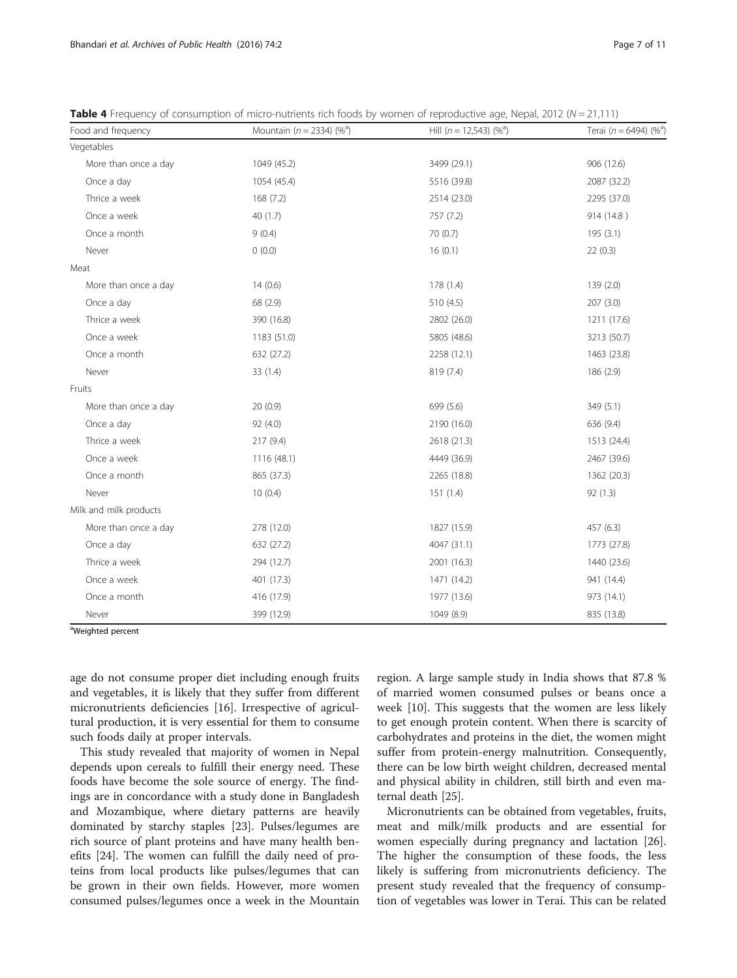| Food and frequency     | Mountain ( $n = 2334$ ) (% <sup>a</sup> ) | Hill ( $n = 12,543$ ) (% <sup>a</sup> ) | Terai ( $n = 6494$ ) (% <sup>a</sup> ) |
|------------------------|-------------------------------------------|-----------------------------------------|----------------------------------------|
| Vegetables             |                                           |                                         |                                        |
| More than once a day   | 1049 (45.2)                               | 3499 (29.1)                             | 906 (12.6)                             |
| Once a day             | 1054 (45.4)                               | 5516 (39.8)                             | 2087 (32.2)                            |
| Thrice a week          | 168(7.2)                                  | 2514 (23.0)                             | 2295 (37.0)                            |
| Once a week            | 40(1.7)                                   | 757 (7.2)                               | 914 (14.8)                             |
| Once a month           | 9(0.4)                                    | 70 (0.7)                                | 195(3.1)                               |
| Never                  | 0(0.0)                                    | 16(0.1)                                 | 22(0.3)                                |
| Meat                   |                                           |                                         |                                        |
| More than once a day   | 14(0.6)                                   | 178(1.4)                                | 139 (2.0)                              |
| Once a day             | 68 (2.9)                                  | 510 (4.5)                               | 207(3.0)                               |
| Thrice a week          | 390 (16.8)                                | 2802 (26.0)                             | 1211 (17.6)                            |
| Once a week            | 1183 (51.0)                               | 5805 (48.6)                             | 3213 (50.7)                            |
| Once a month           | 632 (27.2)                                | 2258 (12.1)                             | 1463 (23.8)                            |
| Never                  | 33 (1.4)                                  | 819 (7.4)                               | 186 (2.9)                              |
| Fruits                 |                                           |                                         |                                        |
| More than once a day   | 20(0.9)                                   | 699 (5.6)                               | 349 (5.1)                              |
| Once a day             | 92 (4.0)                                  | 2190 (16.0)                             | 636 (9.4)                              |
| Thrice a week          | 217 (9.4)                                 | 2618 (21.3)                             | 1513 (24.4)                            |
| Once a week            | 1116 (48.1)                               | 4449 (36.9)                             | 2467 (39.6)                            |
| Once a month           | 865 (37.3)                                | 2265 (18.8)                             | 1362 (20.3)                            |
| Never                  | 10(0.4)                                   | 151(1.4)                                | 92(1.3)                                |
| Milk and milk products |                                           |                                         |                                        |
| More than once a day   | 278 (12.0)                                | 1827 (15.9)                             | 457(6.3)                               |
| Once a day             | 632 (27.2)                                | 4047 (31.1)                             | 1773 (27.8)                            |
| Thrice a week          | 294 (12.7)                                | 2001 (16.3)                             | 1440 (23.6)                            |
| Once a week            | 401 (17.3)                                | 1471 (14.2)                             | 941 (14.4)                             |
| Once a month           | 416 (17.9)                                | 1977 (13.6)                             | 973 (14.1)                             |
| Never                  | 399 (12.9)                                | 1049 (8.9)                              | 835 (13.8)                             |

<span id="page-6-0"></span>Table 4 Frequency of consumption of micro-nutrients rich foods by women of reproductive age, Nepal, 2012 ( $N = 21,111$ )

age do not consume proper diet including enough fruits and vegetables, it is likely that they suffer from different micronutrients deficiencies [\[16\]](#page-10-0). Irrespective of agricultural production, it is very essential for them to consume such foods daily at proper intervals.

This study revealed that majority of women in Nepal depends upon cereals to fulfill their energy need. These foods have become the sole source of energy. The findings are in concordance with a study done in Bangladesh and Mozambique, where dietary patterns are heavily dominated by starchy staples [\[23](#page-10-0)]. Pulses/legumes are rich source of plant proteins and have many health benefits [[24\]](#page-10-0). The women can fulfill the daily need of proteins from local products like pulses/legumes that can be grown in their own fields. However, more women consumed pulses/legumes once a week in the Mountain region. A large sample study in India shows that 87.8 % of married women consumed pulses or beans once a week [\[10](#page-10-0)]. This suggests that the women are less likely to get enough protein content. When there is scarcity of carbohydrates and proteins in the diet, the women might suffer from protein-energy malnutrition. Consequently, there can be low birth weight children, decreased mental and physical ability in children, still birth and even maternal death [[25\]](#page-10-0).

Micronutrients can be obtained from vegetables, fruits, meat and milk/milk products and are essential for women especially during pregnancy and lactation [\[26](#page-10-0)]. The higher the consumption of these foods, the less likely is suffering from micronutrients deficiency. The present study revealed that the frequency of consumption of vegetables was lower in Terai. This can be related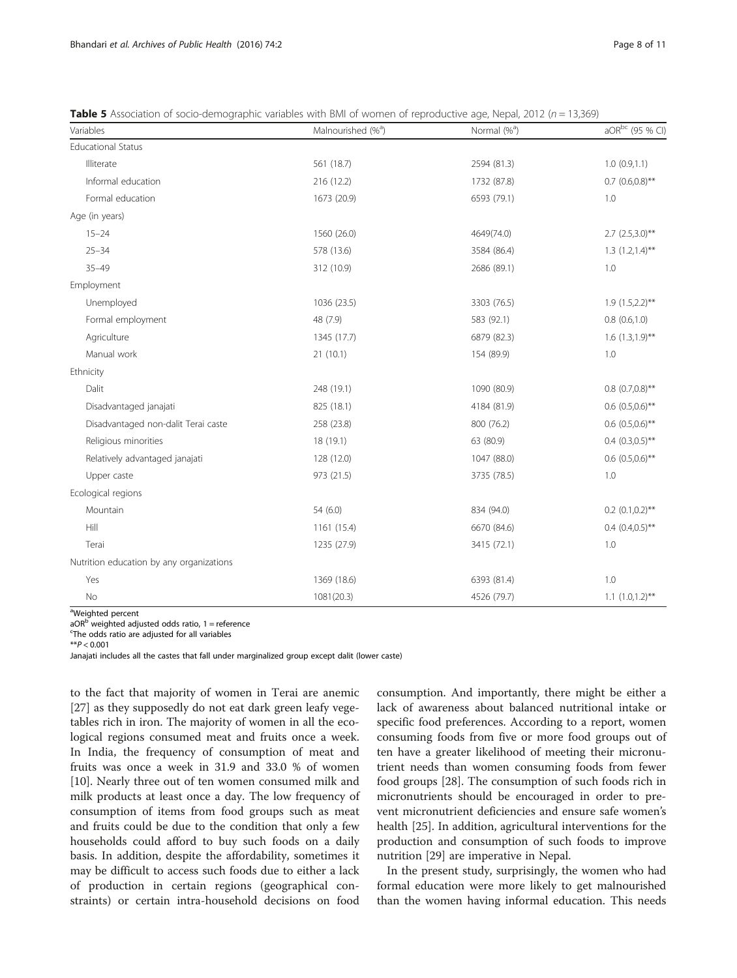| Variables                                | Malnourished (% <sup>a</sup> ) | Normal (% <sup>a</sup> ) | aOR <sup>bc</sup> (95 % CI) |
|------------------------------------------|--------------------------------|--------------------------|-----------------------------|
| <b>Educational Status</b>                |                                |                          |                             |
| Illiterate                               | 561 (18.7)                     | 2594 (81.3)              | 1.0(0.9,1.1)                |
| Informal education                       | 216 (12.2)                     | 1732 (87.8)              | $0.7$ $(0.6, 0.8)$ **       |
| Formal education                         | 1673 (20.9)                    | 6593 (79.1)              | 1.0                         |
| Age (in years)                           |                                |                          |                             |
| $15 - 24$                                | 1560 (26.0)                    | 4649(74.0)               | $2.7$ (2.5,3.0)**           |
| $25 - 34$                                | 578 (13.6)                     | 3584 (86.4)              | $1.3(1.2,1.4)$ **           |
| $35 - 49$                                | 312 (10.9)                     | 2686 (89.1)              | 1.0                         |
| Employment                               |                                |                          |                             |
| Unemployed                               | 1036 (23.5)                    | 3303 (76.5)              | $1.9(1.5,2.2)$ **           |
| Formal employment                        | 48 (7.9)                       | 583 (92.1)               | 0.8(0.6, 1.0)               |
| Agriculture                              | 1345 (17.7)                    | 6879 (82.3)              | $1.6$ $(1.3,1.9)$ **        |
| Manual work                              | 21(10.1)                       | 154 (89.9)               | 1.0                         |
| Ethnicity                                |                                |                          |                             |
| Dalit                                    | 248 (19.1)                     | 1090 (80.9)              | $0.8$ $(0.7,0.8)$ **        |
| Disadvantaged janajati                   | 825 (18.1)                     | 4184 (81.9)              | $0.6$ $(0.5, 0.6)$ **       |
| Disadvantaged non-dalit Terai caste      | 258 (23.8)                     | 800 (76.2)               | $0.6$ $(0.5, 0.6)$ **       |
| Religious minorities                     | 18 (19.1)                      | 63 (80.9)                | $0.4$ $(0.3,0.5)$ **        |
| Relatively advantaged janajati           | 128 (12.0)                     | 1047 (88.0)              | $0.6$ $(0.5,0.6)$ **        |
| Upper caste                              | 973 (21.5)                     | 3735 (78.5)              | 1.0                         |
| Ecological regions                       |                                |                          |                             |
| Mountain                                 | 54 (6.0)                       | 834 (94.0)               | $0.2$ $(0.1, 0.2)$ **       |
| Hill                                     | 1161 (15.4)                    | 6670 (84.6)              | $0.4$ $(0.4, 0.5)$ **       |
| Terai                                    | 1235 (27.9)                    | 3415 (72.1)              | 1.0                         |
| Nutrition education by any organizations |                                |                          |                             |
| Yes                                      | 1369 (18.6)                    | 6393 (81.4)              | $1.0\,$                     |
| No                                       | 1081(20.3)                     | 4526 (79.7)              | $1.1$ $(1.0, 1.2)$ **       |

<span id="page-7-0"></span>**Table 5** Association of socio-demographic variables with BMI of women of reproductive age, Nepal, 2012 ( $n = 13,369$ )

aO $R^b$  weighted adjusted odds ratio, 1 = reference

The odds ratio are adjusted for all variables

 $*$  $P$  < 0.001

Janajati includes all the castes that fall under marginalized group except dalit (lower caste)

to the fact that majority of women in Terai are anemic [[27\]](#page-10-0) as they supposedly do not eat dark green leafy vegetables rich in iron. The majority of women in all the ecological regions consumed meat and fruits once a week. In India, the frequency of consumption of meat and fruits was once a week in 31.9 and 33.0 % of women [[10\]](#page-10-0). Nearly three out of ten women consumed milk and milk products at least once a day. The low frequency of consumption of items from food groups such as meat and fruits could be due to the condition that only a few households could afford to buy such foods on a daily basis. In addition, despite the affordability, sometimes it may be difficult to access such foods due to either a lack of production in certain regions (geographical constraints) or certain intra-household decisions on food

consumption. And importantly, there might be either a lack of awareness about balanced nutritional intake or specific food preferences. According to a report, women consuming foods from five or more food groups out of ten have a greater likelihood of meeting their micronutrient needs than women consuming foods from fewer food groups [[28\]](#page-10-0). The consumption of such foods rich in micronutrients should be encouraged in order to prevent micronutrient deficiencies and ensure safe women's health [[25\]](#page-10-0). In addition, agricultural interventions for the production and consumption of such foods to improve nutrition [\[29](#page-10-0)] are imperative in Nepal.

In the present study, surprisingly, the women who had formal education were more likely to get malnourished than the women having informal education. This needs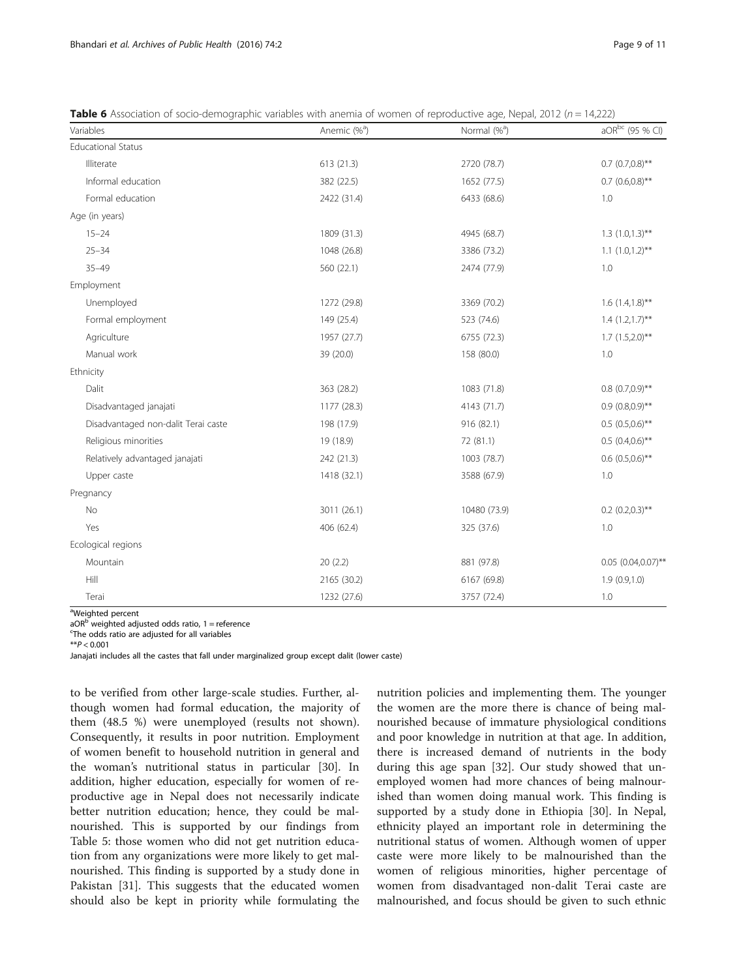| Variables                           | Anemic (% <sup>a</sup> ) | Normal (% <sup>a</sup> ) | aOR <sup>bc</sup> (95 % CI) |
|-------------------------------------|--------------------------|--------------------------|-----------------------------|
| <b>Educational Status</b>           |                          |                          |                             |
| Illiterate                          | 613 (21.3)               | 2720 (78.7)              | $0.7(0.7,0.8)$ **           |
| Informal education                  | 382 (22.5)               | 1652 (77.5)              | $0.7$ $(0.6, 0.8)$ **       |
| Formal education                    | 2422 (31.4)              | 6433 (68.6)              | 1.0                         |
| Age (in years)                      |                          |                          |                             |
| $15 - 24$                           | 1809 (31.3)              | 4945 (68.7)              | $1.3(1.0, 1.3)$ **          |
| $25 - 34$                           | 1048 (26.8)              | 3386 (73.2)              | $1.1 (1.0, 1.2)$ **         |
| $35 - 49$                           | 560 (22.1)               | 2474 (77.9)              | 1.0                         |
| Employment                          |                          |                          |                             |
| Unemployed                          | 1272 (29.8)              | 3369 (70.2)              | $1.6$ $(1.4, 1.8)$ **       |
| Formal employment                   | 149 (25.4)               | 523 (74.6)               | $1.4$ $(1.2,1.7)$ **        |
| Agriculture                         | 1957 (27.7)              | 6755 (72.3)              | $1.7(1.5,2.0)$ **           |
| Manual work                         | 39 (20.0)                | 158 (80.0)               | 1.0                         |
| Ethnicity                           |                          |                          |                             |
| Dalit                               | 363 (28.2)               | 1083 (71.8)              | $0.8$ $(0.7,0.9)$ **        |
| Disadvantaged janajati              | 1177 (28.3)              | 4143 (71.7)              | $0.9(0.8,0.9)$ **           |
| Disadvantaged non-dalit Terai caste | 198 (17.9)               | 916 (82.1)               | $0.5$ $(0.5, 0.6)$ **       |
| Religious minorities                | 19 (18.9)                | 72 (81.1)                | $0.5(0.4,0.6)$ **           |
| Relatively advantaged janajati      | 242 (21.3)               | 1003 (78.7)              | $0.6$ $(0.5, 0.6)$ **       |
| Upper caste                         | 1418 (32.1)              | 3588 (67.9)              | 1.0                         |
| Pregnancy                           |                          |                          |                             |
| <b>No</b>                           | 3011 (26.1)              | 10480 (73.9)             | $0.2$ $(0.2, 0.3)$ **       |
| Yes                                 | 406 (62.4)               | 325 (37.6)               | 1.0                         |
| Ecological regions                  |                          |                          |                             |
| Mountain                            | 20(2.2)                  | 881 (97.8)               | $0.05$ (0.04,0.07)**        |
| Hill                                | 2165 (30.2)              | 6167 (69.8)              | 1.9(0.9,1.0)                |
| Terai                               | 1232 (27.6)              | 3757 (72.4)              | 1.0                         |

<span id="page-8-0"></span>Table 6 Association of socio-demographic variables with anemia of women of reproductive age, Nepal, 2012 ( $n = 14,222$ )

aO $R^b$  weighted adjusted odds ratio, 1 = reference

The odds ratio are adjusted for all variables

 $* p < 0.001$ 

Janajati includes all the castes that fall under marginalized group except dalit (lower caste)

to be verified from other large-scale studies. Further, although women had formal education, the majority of them (48.5 %) were unemployed (results not shown). Consequently, it results in poor nutrition. Employment of women benefit to household nutrition in general and the woman's nutritional status in particular [\[30](#page-10-0)]. In addition, higher education, especially for women of reproductive age in Nepal does not necessarily indicate better nutrition education; hence, they could be malnourished. This is supported by our findings from Table [5](#page-7-0): those women who did not get nutrition education from any organizations were more likely to get malnourished. This finding is supported by a study done in Pakistan [[31\]](#page-10-0). This suggests that the educated women should also be kept in priority while formulating the nutrition policies and implementing them. The younger the women are the more there is chance of being malnourished because of immature physiological conditions and poor knowledge in nutrition at that age. In addition, there is increased demand of nutrients in the body during this age span [[32](#page-10-0)]. Our study showed that unemployed women had more chances of being malnourished than women doing manual work. This finding is supported by a study done in Ethiopia [\[30](#page-10-0)]. In Nepal, ethnicity played an important role in determining the nutritional status of women. Although women of upper caste were more likely to be malnourished than the women of religious minorities, higher percentage of women from disadvantaged non-dalit Terai caste are malnourished, and focus should be given to such ethnic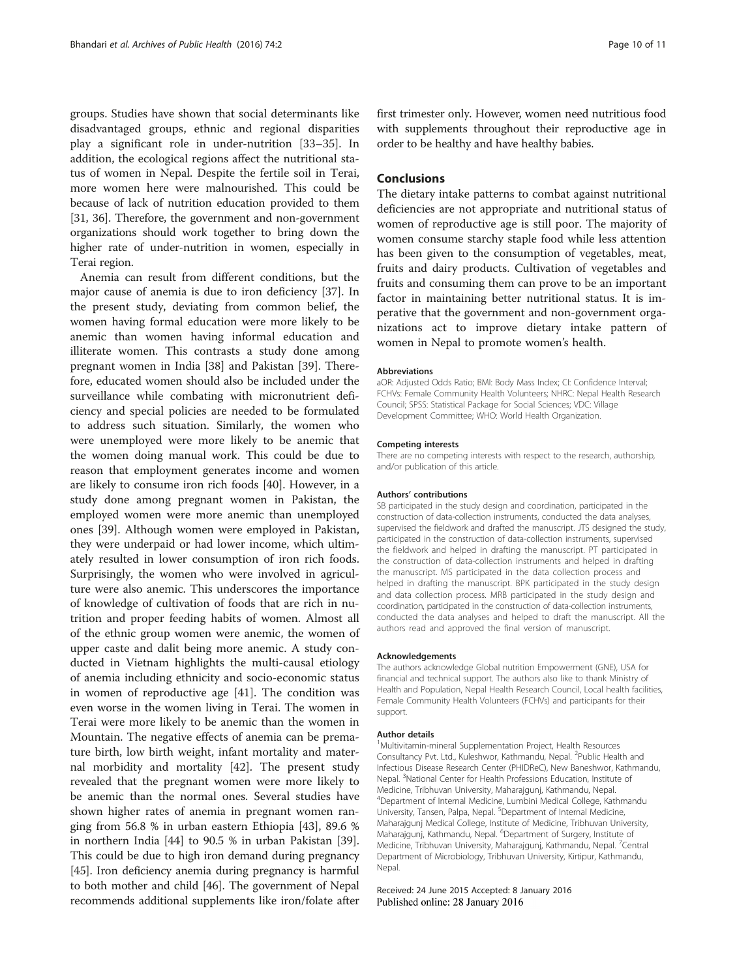groups. Studies have shown that social determinants like disadvantaged groups, ethnic and regional disparities play a significant role in under-nutrition [\[33](#page-10-0)–[35\]](#page-10-0). In addition, the ecological regions affect the nutritional status of women in Nepal. Despite the fertile soil in Terai, more women here were malnourished. This could be because of lack of nutrition education provided to them [[31](#page-10-0), [36](#page-10-0)]. Therefore, the government and non-government organizations should work together to bring down the higher rate of under-nutrition in women, especially in Terai region.

Anemia can result from different conditions, but the major cause of anemia is due to iron deficiency [\[37\]](#page-10-0). In the present study, deviating from common belief, the women having formal education were more likely to be anemic than women having informal education and illiterate women. This contrasts a study done among pregnant women in India [[38](#page-10-0)] and Pakistan [\[39](#page-10-0)]. Therefore, educated women should also be included under the surveillance while combating with micronutrient deficiency and special policies are needed to be formulated to address such situation. Similarly, the women who were unemployed were more likely to be anemic that the women doing manual work. This could be due to reason that employment generates income and women are likely to consume iron rich foods [\[40](#page-10-0)]. However, in a study done among pregnant women in Pakistan, the employed women were more anemic than unemployed ones [\[39\]](#page-10-0). Although women were employed in Pakistan, they were underpaid or had lower income, which ultimately resulted in lower consumption of iron rich foods. Surprisingly, the women who were involved in agriculture were also anemic. This underscores the importance of knowledge of cultivation of foods that are rich in nutrition and proper feeding habits of women. Almost all of the ethnic group women were anemic, the women of upper caste and dalit being more anemic. A study conducted in Vietnam highlights the multi-causal etiology of anemia including ethnicity and socio-economic status in women of reproductive age [\[41](#page-10-0)]. The condition was even worse in the women living in Terai. The women in Terai were more likely to be anemic than the women in Mountain. The negative effects of anemia can be premature birth, low birth weight, infant mortality and maternal morbidity and mortality [[42\]](#page-10-0). The present study revealed that the pregnant women were more likely to be anemic than the normal ones. Several studies have shown higher rates of anemia in pregnant women ranging from 56.8 % in urban eastern Ethiopia [[43](#page-10-0)], 89.6 % in northern India [[44\]](#page-10-0) to 90.5 % in urban Pakistan [\[39](#page-10-0)]. This could be due to high iron demand during pregnancy [[45](#page-10-0)]. Iron deficiency anemia during pregnancy is harmful to both mother and child [[46](#page-10-0)]. The government of Nepal recommends additional supplements like iron/folate after

first trimester only. However, women need nutritious food with supplements throughout their reproductive age in order to be healthy and have healthy babies.

### Conclusions

The dietary intake patterns to combat against nutritional deficiencies are not appropriate and nutritional status of women of reproductive age is still poor. The majority of women consume starchy staple food while less attention has been given to the consumption of vegetables, meat, fruits and dairy products. Cultivation of vegetables and fruits and consuming them can prove to be an important factor in maintaining better nutritional status. It is imperative that the government and non-government organizations act to improve dietary intake pattern of women in Nepal to promote women's health.

#### Abbreviations

aOR: Adjusted Odds Ratio; BMI: Body Mass Index; CI: Confidence Interval; FCHVs: Female Community Health Volunteers; NHRC: Nepal Health Research Council; SPSS: Statistical Package for Social Sciences; VDC: Village Development Committee; WHO: World Health Organization.

#### Competing interests

There are no competing interests with respect to the research, authorship, and/or publication of this article.

#### Authors' contributions

SB participated in the study design and coordination, participated in the construction of data-collection instruments, conducted the data analyses, supervised the fieldwork and drafted the manuscript. JTS designed the study, participated in the construction of data-collection instruments, supervised the fieldwork and helped in drafting the manuscript. PT participated in the construction of data-collection instruments and helped in drafting the manuscript. MS participated in the data collection process and helped in drafting the manuscript. BPK participated in the study design and data collection process. MRB participated in the study design and coordination, participated in the construction of data-collection instruments, conducted the data analyses and helped to draft the manuscript. All the authors read and approved the final version of manuscript.

#### Acknowledgements

The authors acknowledge Global nutrition Empowerment (GNE), USA for financial and technical support. The authors also like to thank Ministry of Health and Population, Nepal Health Research Council, Local health facilities, Female Community Health Volunteers (FCHVs) and participants for their support.

#### Author details

<sup>1</sup>Multivitamin-mineral Supplementation Project, Health Resources Consultancy Pvt. Ltd., Kuleshwor, Kathmandu, Nepal. <sup>2</sup>Public Health and Infectious Disease Research Center (PHIDReC), New Baneshwor, Kathmandu, Nepal. <sup>3</sup>National Center for Health Professions Education, Institute of Medicine, Tribhuvan University, Maharajgunj, Kathmandu, Nepal. 4 Department of Internal Medicine, Lumbini Medical College, Kathmandu University, Tansen, Palpa, Nepal. <sup>5</sup>Department of Internal Medicine Maharajgunj Medical College, Institute of Medicine, Tribhuvan University, Maharajgunj, Kathmandu, Nepal. <sup>6</sup>Department of Surgery, Institute of Medicine, Tribhuvan University, Maharajgunj, Kathmandu, Nepal. <sup>7</sup>Central Department of Microbiology, Tribhuvan University, Kirtipur, Kathmandu, Nepal.

Received: 24 June 2015 Accepted: 8 January 2016 Published online: 28 January 2016